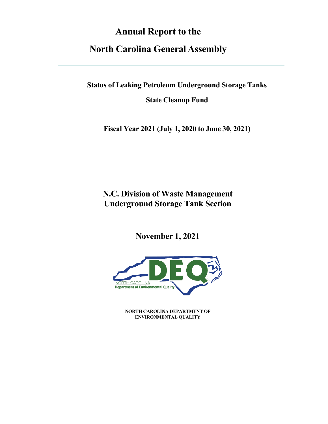# **Annual Report to the**

# **North Carolina General Assembly**

**Status of Leaking Petroleum Underground Storage Tanks**

**State Cleanup Fund**

**Fiscal Year 2021 (July 1, 2020 to June 30, 2021)**

**N.C. Division of Waste Management Underground Storage Tank Section**

**November 1, 2021**



**NORTH CAROLINA DEPARTMENT OF ENVIRONMENTAL QUALITY**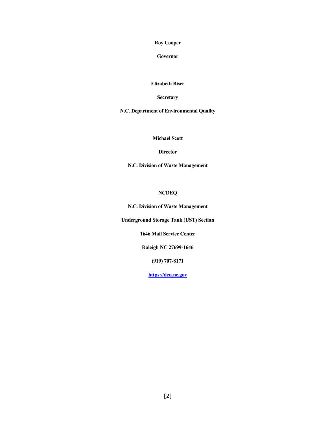**Roy Cooper**

**Governor**

**Elizabeth Biser**

**Secretary**

**N.C. Department of Environmental Quality**

**Michael Scott**

**Director**

**N.C. Division of Waste Management**

**NCDEQ**

**N.C. Division of Waste Management**

**Underground Storage Tank (UST) Section**

**1646 Mail Service Center**

**Raleigh NC 27699-1646**

**(919) 707-8171**

**[https://deq.nc.gov](https://deq.nc.gov/)**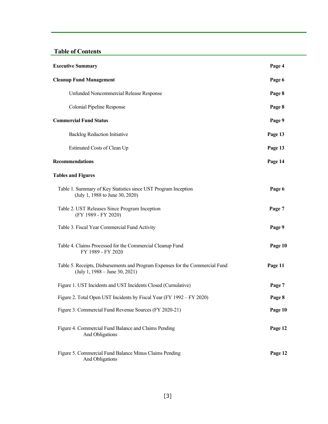## **Table of Contents**

| <b>Executive Summary</b>                                                                                                          | Page 4  |
|-----------------------------------------------------------------------------------------------------------------------------------|---------|
| <b>Cleanup Fund Management</b>                                                                                                    | Page 6  |
| Unfunded Noncommercial Release Response                                                                                           | Page 8  |
| Colonial Pipeline Response                                                                                                        | Page 8  |
| <b>Commercial Fund Status</b>                                                                                                     | Page 9  |
| <b>Backlog Reduction Initiative</b>                                                                                               | Page 13 |
| Estimated Costs of Clean Up                                                                                                       | Page 13 |
| <b>Recommendations</b>                                                                                                            | Page 14 |
| <b>Tables and Figures</b>                                                                                                         |         |
| Table 1. Summary of Key Statistics since UST Program Inception<br>(July 1, 1988 to June 30, 2020)                                 | Page 6  |
| Table 2. UST Releases Since Program Inception<br>(FY 1989 - FY 2020)                                                              | Page 7  |
| Table 3. Fiscal Year Commercial Fund Activity                                                                                     | Page 9  |
| Table 4. Claims Processed for the Commercial Cleanup Fund<br>FY 1989 - FY 2020                                                    | Page 10 |
| Table 5. Receipts, Disbursements and Program Expenses for the Commercial Fund<br>$(\text{July } 1, 1988 - \text{June } 30, 2021)$ | Page 11 |
| Figure 1. UST Incidents and UST Incidents Closed (Cumulative)                                                                     | Page 7  |
| Figure 2. Total Open UST Incidents by Fiscal Year (FY 1992 – FY 2020)                                                             | Page 8  |
| Figure 3. Commercial Fund Revenue Sources (FY 2020-21)                                                                            | Page 10 |
| Figure 4. Commercial Fund Balance and Claims Pending<br>And Obligations                                                           | Page 12 |
| Figure 5. Commercial Fund Balance Minus Claims Pending<br>And Obligations                                                         | Page 12 |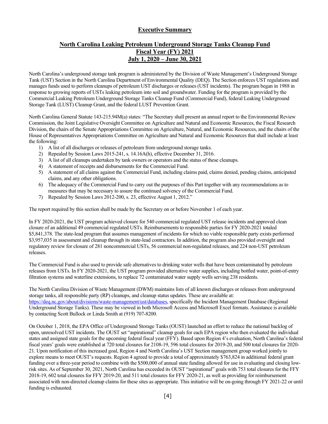### **Executive Summary**

### **North Carolina Leaking Petroleum Underground Storage Tanks Cleanup Fund Fiscal Year (FY) 2021 July 1, 2020 – June 30, 2021**

North Carolina's underground storage tank program is administered by the Division of Waste Management's Underground Storage Tank (UST) Section in the North Carolina Department of Environmental Quality (DEQ). The Section enforces UST regulations and manages funds used to perform cleanups of petroleum UST discharges or releases (UST incidents). The program began in 1988 in response to growing reports of USTs leaking petroleum into soil and groundwater. Funding for the program is provided by the Commercial Leaking Petroleum Underground Storage Tanks Cleanup Fund (Commercial Fund), federal Leaking Underground Storage Tank (LUST) Cleanup Grant, and the federal LUST Prevention Grant.

North Carolina General Statute 143-215.94M(a) states: "The Secretary shall present an annual report to the Environmental Review Commission, the Joint Legislative Oversight Committee on Agriculture and Natural and Economic Resources, the Fiscal Research Division, the chairs of the Senate Appropriations Committee on Agriculture, Natural, and Economic Resources, and the chairs of the House of Representatives Appropriations Committee on Agriculture and Natural and Economic Resources that shall include at least the following:

- 1) A list of all discharges or releases of petroleum from underground storage tanks.
- 2) Repealed by Session Laws 2015-241, s. 14.16A(h), effective December 31, 2016.
- 3) A list of all cleanups undertaken by tank owners or operators and the status of these cleanups.
- 4) A statement of receipts and disbursements for the Commercial Fund.
- 5) A statement of all claims against the Commercial Fund, including claims paid, claims denied, pending claims, anticipated claims, and any other obligations.
- 6) The adequacy of the Commercial Fund to carry out the purposes of this Part together with any recommendations as to measures that may be necessary to assure the continued solvency of the Commercial Fund.
- 7) Repealed by Session Laws 2012-200, s. 23, effective August 1, 2012."

The report required by this section shall be made by the Secretary on or before November 1 of each year.

In FY 2020-2021, the UST program achieved closure for 540 commercial regulated UST release incidents and approved clean closure of an additional 49 commercial regulated USTs. Reimbursements to responsible parties for FY 2020-2021 totaled \$5,841,378. The state-lead program that assumes management of incidents for which no viable responsible party exists performed \$3,957,035 in assessment and cleanup through its state-lead contractors. In addition, the program also provided oversight and regulatory review for closure of 281 noncommercial USTs, 56 commercial non-regulated releases, and 224 non-UST petroleum releases.

The Commercial Fund is also used to provide safe alternatives to drinking water wells that have been contaminated by petroleum releases from USTs. In FY 2020-2021, the UST program provided alternative water supplies, including bottled water, point-of-entry filtration systems and waterline extensions, to replace 72 contaminated water supply wells serving 238 residents.

The North Carolina Division of Waste Management (DWM) maintains lists of all known discharges or releases from underground storage tanks, all responsible party (RP) cleanups, and cleanup status updates. These are available at: [https://deq.nc.gov/about/divisions/waste-management/ust/databases,](https://deq.nc.gov/about/divisions/waste-management/ust/databases) specifically the Incident Management Database (Regional Underground Storage Tanks). These may be viewed in both Microsoft Access and Microsoft Excel formats. Assistance is available by contacting Scott Bullock or Linda Smith at (919) 707-8200.

On October 1, 2018, the EPA Office of Underground Storage Tanks (OUST) launched an effort to reduce the national backlog of open, unresolved UST incidents. The OUST set "aspirational" cleanup goals for each EPA region who then evaluated the individual states and assigned state goals for the upcoming federal fiscal year (FFY). Based upon Region 4's evaluation, North Carolina's federal fiscal years' goals were established at 720 total closures for 2108-19, 596 total closures for 2019-20, and 500 total closures for 2020- 21. Upon notification of this increased goal, Region 4 and North Carolina's UST Section management group worked jointly to explore means to meet OUST's requests. Region 4 agreed to provide a total of approximately \$763,824 in additional federal grant funding over a three-year period to combine with the \$500,000 of annual state funding allowed for use in evaluating and closing lowrisk sites. As of September 30, 2021, North Carolina has exceeded its OUST "aspirational" goals with 753 total closures for the FFY 2018-19, 602 total closures for FFY 2019-20, and 511 total closures for FFY 2020-21, as well as providing for reimbursement associated with non-directed cleanup claims for these sites as appropriate. This initiative will be on-going through FY 2021-22 or until funding is exhausted.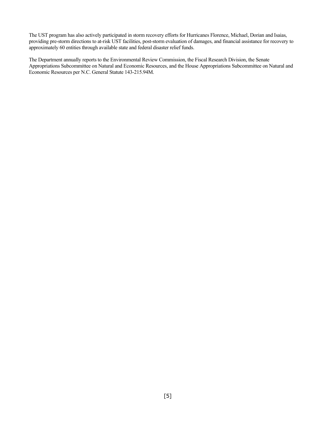The UST program has also actively participated in storm recovery efforts for Hurricanes Florence, Michael, Dorian and Isaias, providing pre-storm directions to at-risk UST facilities, post-storm evaluation of damages, and financial assistance for recovery to approximately 60 entities through available state and federal disaster relief funds.

The Department annually reports to the Environmental Review Commission, the Fiscal Research Division, the Senate Appropriations Subcommittee on Natural and Economic Resources, and the House Appropriations Subcommittee on Natural and Economic Resources per N.C. General Statute 143-215.94M.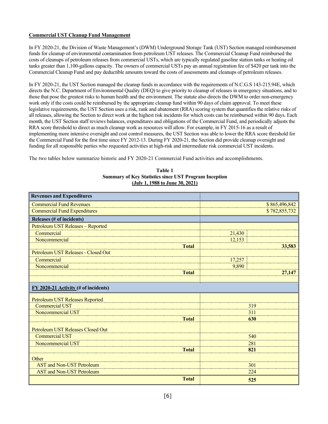#### **Commercial UST Cleanup Fund Management**

In FY 2020-21, the Division of Waste Management's (DWM) Underground Storage Tank (UST) Section managed reimbursement funds for cleanup of environmental contamination from petroleum UST releases. The Commercial Cleanup Fund reimbursed the costs of cleanups of petroleum releases from commercial USTs, which are typically regulated gasoline station tanks or heating oil tanks greater than 1,100-gallons capacity. The owners of commercial USTs pay an annual registration fee of \$420 per tank into the Commercial Cleanup Fund and pay deductible amounts toward the costs of assessments and cleanups of petroleum releases.

In FY 2020-21, the UST Section managed the cleanup funds in accordance with the requirements of N.C.G.S 143-215.94E, which directs the N.C. Department of Environmental Quality (DEQ) to give priority to cleanup of releases in emergency situations, and to those that pose the greatest risks to human health and the environment. The statute also directs the DWM to order non-emergency work only if the costs could be reimbursed by the appropriate cleanup fund within 90 days of claim approval. To meet these legislative requirements, the UST Section uses a risk, rank and abatement (RRA) scoring system that quantifies the relative risks of all releases, allowing the Section to direct work at the highest risk incidents for which costs can be reimbursed within 90 days. Each month, the UST Section staff reviews balances, expenditures and obligations of the Commercial Fund, and periodically adjusts the RRA score threshold to direct as much cleanup work as resources will allow. For example, in FY 2015-16 as a result of implementing more intensive oversight and cost control measures, the UST Section was able to lower the RRA score threshold for the Commercial Fund for the first time since FY 2012-13. During FY 2020-21, the Section did provide cleanup oversight and funding for all responsible parties who requested activities at high-risk and intermediate risk commercial UST incidents.

The two tables below summarize historic and FY 2020-21 Commercial Fund activities and accomplishments.

| Table 1                                                      |
|--------------------------------------------------------------|
| <b>Summary of Key Statistics since UST Program Inception</b> |
| (July 1, 1988 to June 30, 2021)                              |

| <b>Revenues and Expenditures</b>                   |               |               |
|----------------------------------------------------|---------------|---------------|
| <b>Commercial Fund Revenues</b>                    | \$865,496,842 |               |
| <b>Commercial Fund Expenditures</b>                |               | \$782,855,732 |
| Releases (# of incidents)                          |               |               |
| Petroleum UST Releases - Reported                  |               |               |
| Commercial                                         | 21,430        |               |
| Noncommercial                                      | 12,153        |               |
| <b>Total</b>                                       | 33,583        |               |
| Petroleum UST Releases - Closed Out                |               |               |
| Commercial                                         | 17,257        |               |
| Noncommercial                                      | 9,890         |               |
| <b>Total</b>                                       |               | 27,147        |
|                                                    |               |               |
| $\underline{FY}$ 2020-21 Activity (# of incidents) |               |               |
| Petroleum UST Releases Reported                    |               |               |
| <b>Commercial UST</b>                              | 319           |               |
| Noncommercial UST                                  | 311           |               |
| <b>Total</b>                                       | 630           |               |
| Petroleum UST Releases Closed Out                  |               |               |
| <b>Commercial UST</b>                              |               | 540           |
| Noncommercial UST                                  | 281           |               |
| <b>Total</b>                                       |               | 821           |
| Other                                              |               |               |
| <b>AST</b> and Non-UST Petroleum                   | 301           |               |
| <b>AST and Non-UST Petroleum</b>                   |               | 224           |
| <b>Total</b>                                       |               | 525           |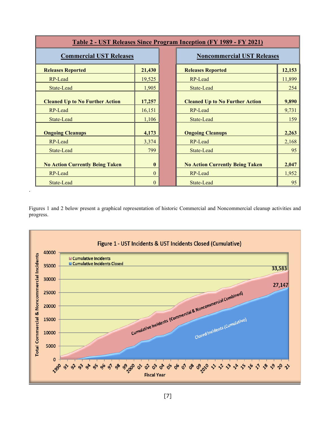| <b>Table 2 - UST Releases Since Program Inception (FY 1989 - FY 2021)</b> |              |  |                                        |        |
|---------------------------------------------------------------------------|--------------|--|----------------------------------------|--------|
| <b>Commercial UST Releases</b>                                            |              |  | <b>Noncommercial UST Releases</b>      |        |
| <b>Releases Reported</b>                                                  | 21,430       |  | <b>Releases Reported</b>               | 12,153 |
| RP-Lead                                                                   | 19,525       |  | RP-Lead                                | 11,899 |
| State-Lead                                                                | 1,905        |  | State-Lead                             | 254    |
| <b>Cleaned Up to No Further Action</b>                                    | 17,257       |  | <b>Cleaned Up to No Further Action</b> | 9,890  |
| RP-Lead                                                                   | 16,151       |  | RP-Lead                                | 9,731  |
| State-Lead                                                                | 1,106        |  | State-Lead                             | 159    |
| <b>Ongoing Cleanups</b>                                                   | 4,173        |  | <b>Ongoing Cleanups</b>                | 2,263  |
| RP-Lead                                                                   | 3,374        |  | RP-Lead                                | 2,168  |
| State-Lead                                                                | 799          |  | State-Lead                             | 95     |
| <b>No Action Currently Being Taken</b>                                    | $\mathbf{0}$ |  | <b>No Action Currently Being Taken</b> | 2,047  |
| RP-Lead                                                                   | $\Omega$     |  | RP-Lead                                | 1,952  |
| State-Lead                                                                | $\theta$     |  | State-Lead                             | 95     |

Figures 1 and 2 below present a graphical representation of historic Commercial and Noncommercial cleanup activities and progress.

.

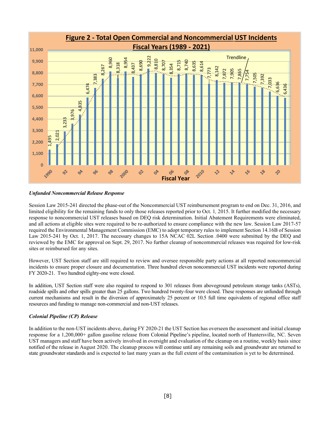

#### *Unfunded Noncommercial Release Response*

Session Law 2015-241 directed the phase-out of the Noncommercial UST reimbursement program to end on Dec. 31, 2016, and limited eligibility for the remaining funds to only those releases reported prior to Oct. 1*,* 2015. It further modified the necessary response to noncommercial UST releases based on DEQ risk determination. Initial Abatement Requirements were eliminated, and all actions at eligible sites were required to be re-authorized to ensure compliance with the new law. Session Law 2017-57 required the Environmental Management Commission (EMC) to adopt temporary rules to implement Section 14.16B of Session Law 2015-241 by Oct. 1, 2017. The necessary changes to 15A NCAC 02L Section .0400 were submitted by the DEQ and reviewed by the EMC for approval on Sept. 29, 2017. No further cleanup of noncommercial releases was required for low-risk sites or reimbursed for any sites.

However, UST Section staff are still required to review and oversee responsible party actions at all reported noncommercial incidents to ensure proper closure and documentation. Three hundred eleven noncommercial UST incidents were reported during FY 2020-21. Two hundred eighty-one were closed.

In addition, UST Section staff were also required to respond to 301 releases from aboveground petroleum storage tanks (ASTs), roadside spills and other spills greater than 25 gallons. Two hundred twenty-four were closed. These responses are unfunded through current mechanisms and result in the diversion of approximately 25 percent or 10.5 full time equivalents of regional office staff resources and funding to manage non-commercial and non-UST releases.

#### *Colonial Pipeline (CP) Release*

In addition to the non-UST incidents above, during FY 2020-21 the UST Section has overseen the assessment and initial cleanup response for a 1,200,000+ gallon gasoline release from Colonial Pipeline's pipeline, located north of Huntersville, NC. Seven UST managers and staff have been actively involved in oversight and evaluation of the cleanup on a routine, weekly basis since notified of the release in August 2020. The cleanup process will continue until any remaining soils and groundwater are returned to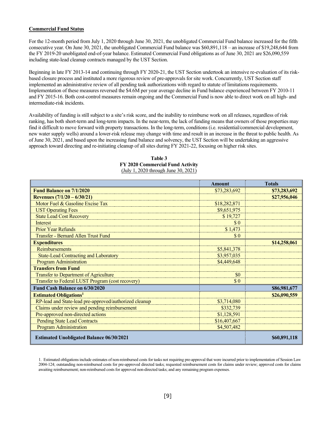#### **Commercial Fund Status**

For the 12-month period from July 1, 2020 through June 30, 2021, the unobligated Commercial Fund balance increased for the fifth consecutive year. On June 30, 2021, the unobligated Commercial Fund balance was \$60,891,118 – an increase of \$19,248,644 from the FY 2019-20 unobligated end-of-year balance. Estimated Commercial Fund obligations as of June 30, 2021 are \$26,090,559 including state-lead cleanup contracts managed by the UST Section.

Beginning in late FY 2013-14 and continuing through FY 2020-21, the UST Section undertook an intensive re-evaluation of its riskbased closure process and instituted a more rigorous review of pre-approvals for site work. Concurrently, UST Section staff implemented an administrative review of all pending task authorizations with regard to statute of limitations requirements. Implementation of these measures reversed the \$4.6M per year average decline in Fund balance experienced between FY 2010-11 and FY 2015-16. Both cost-control measures remain ongoing and the Commercial Fund is now able to direct work on all high- and intermediate-risk incidents.

Availability of funding is still subject to a site's risk score, and the inability to reimburse work on all releases, regardless of risk ranking, has both short-term and long-term impacts. In the near-term, the lack of funding means that owners of those properties may find it difficult to move forward with property transactions. In the long-term, conditions (i.e. residential/commercial development, new water supply wells) around a lower-risk release may change with time and result in an increase in the threat to public health. As of June 30, 2021, and based upon the increasing fund balance and solvency, the UST Section will be undertaking an aggressive approach toward directing and re-initiating cleanup of all sites during FY 2021-22, focusing on higher risk sites.

|                                                        | <b>Amount</b> | <b>Totals</b> |
|--------------------------------------------------------|---------------|---------------|
| <b>Fund Balance on 7/1/2020</b>                        | \$73,283,692  | \$73,283,692  |
| Revenues $(7/1/20 - 6/30/21)$                          |               | \$27,956,046  |
| Motor Fuel & Gasoline Excise Tax                       | \$18,282,871  |               |
| <b>UST Operating Fees</b>                              | \$9,651,975   |               |
| <b>State Lead Cost Recovery</b>                        | \$19,727      |               |
| Interest                                               | \$0           |               |
| <b>Prior Year Refunds</b>                              | \$1,473       |               |
| Transfer - Bernard Allen Trust Fund                    | \$0           |               |
| <b>Expenditures</b>                                    |               | \$14,258,061  |
| <b>Reimbursements</b>                                  | \$5,841,378   |               |
| <b>State-Lead Contracting and Laboratory</b>           | \$3,957,035   |               |
| <b>Program Administration</b>                          | \$4,449,648   |               |
| <b>Transfers from Fund</b>                             |               |               |
| Transfer to Department of Agriculture                  | \$0           |               |
| Transfer to Federal LUST Program (cost recovery)       | $\$$ 0        |               |
| Fund Cash Balance on 6/30/2020                         |               | \$86,981,677  |
| <b>Estimated Obligations<sup>1</sup></b>               |               | \$26,090,559  |
| RP-lead and State-lead pre-approved/authorized cleanup | \$3,714,080   |               |
| Claims under review and pending reimbursement          | \$332,739     |               |
| Pre-approved non-directed actions                      | \$1,128,591   |               |
| <b>Pending State Lead Contracts</b>                    | \$16,407,667  |               |
| <b>Program Administration</b>                          | \$4,507,482   |               |
| <b>Estimated Unobligated Balance 06/30/2021</b>        |               | \$60,891,118  |

#### **Table 3 FY 2020 Commercial Fund Activity** (July 1, 2020 through June 30, 2021)

1. Estimated obligations include estimates of non-reimbursed costs for tasks not requiring pre-approval that were incurred prior to implementation of Session Law 2004-124; outstanding non-reimbursed costs for pre-approved directed tasks; requested reimbursement costs for claims under review; approved costs for claims awaiting reimbursement; non-reimbursed costs for approved non-directed tasks; and any remaining program expenses.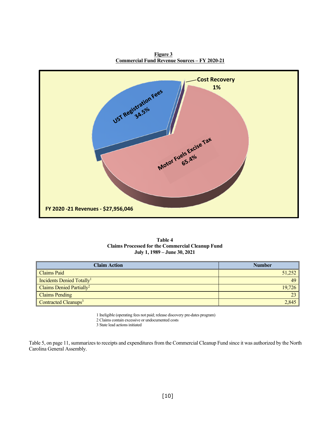**Figure 3 Commercial Fund Revenue Sources – FY 2020-21**





| <b>Claim Action</b>                   | <b>Number</b> |
|---------------------------------------|---------------|
| <b>Claims Paid</b>                    | 51,252        |
| Incidents Denied Totally <sup>1</sup> | 49            |
| Claims Denied Partially <sup>2</sup>  | 19,726        |
| <b>Claims Pending</b>                 | 23            |
| Contracted Cleanups <sup>3</sup>      | 2,845         |

1 Ineligible (operating fees not paid; release discovery pre-dates program)

2 Claims contain excessive or undocumented costs

3 State lead actions initiated

Table 5, on page 11, summarizes to receipts and expenditures from the Commercial Cleanup Fund since it was authorized by the North Carolina General Assembly.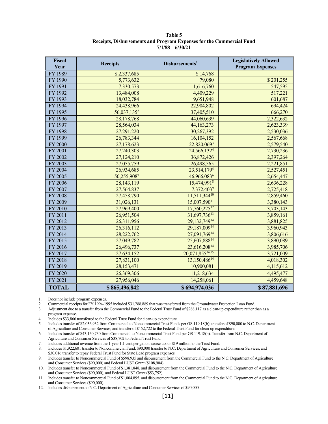**Table 5 Receipts, Disbursements and Program Expenses for the Commercial Fund 7/1/88 – 6/30/21**

| <b>Fiscal</b><br>Year | <b>Receipts</b>         | Disbursements <sup>1</sup>  | <b>Legislatively Allowed</b><br><b>Program Expenses</b> |
|-----------------------|-------------------------|-----------------------------|---------------------------------------------------------|
| FY 1989               | \$2,337,685             | \$14,768                    |                                                         |
| FY 1990               | 5,773,632               | 79,080                      | \$201,255                                               |
| FY 1991               | 7,330,573               | 1,616,760                   | 547,595                                                 |
| FY 1992               | 13,484,008              | 4,409,229                   | 517,221                                                 |
| FY 1993               | 18,032,784              | 9,651,948                   | 601,687                                                 |
| FY 1994               | 24,438,966              | 22,904,802                  | 694,424                                                 |
| FY 1995               | 56,037,135 <sup>2</sup> | 37,405,510                  | 666,270                                                 |
| FY 1996               | 28,178,768              | 44,060,639                  | 2,322,632                                               |
| FY 1997               | 28,564,034              | 44,163,273                  | 2,623,339                                               |
| FY 1998               | 27,291,220              | 30,267,392                  | 2,530,036                                               |
| FY 1999               | 26,783,344              | 16,104,152                  | 2,567,668                                               |
| <b>FY 2000</b>        | 27,178,623              | 22,820,0693                 | 2,579,540                                               |
| FY 2001               | 27,240,303              | 24,566,132 <sup>4</sup>     | 2,730,236                                               |
| FY 2002               | 27,124,210              | 36,872,426                  | 2,397,264                                               |
| FY 2003               | 27,055,759              | 26,498,565                  | 2,221,851                                               |
| FY 2004               | 26,934,685              | 23,514,1795                 | 2,527,451                                               |
| FY 2005               | 50,255,9087             | 46,966,0836                 | 2,654,447                                               |
| FY 2006               | 28,143,119              | 15,474,9918                 | 2,636,228                                               |
| FY 2007               | 27,564,837              | 7,372,4039                  | 2,725,418                                               |
| <b>FY 2008</b>        | 27,458,790              | 11,511,344 <sup>10</sup>    | 2,859,460                                               |
| FY 2009               | 31,026,131              | 15,007,59011                | 3,380,143                                               |
| FY 2010               | 27,969,400              | 17,760,22512                | 3,703,143                                               |
| FY 2011               | 26,951,504              | 31,697,73613                | 3,859,161                                               |
| FY 2012               | 26,311,956              | 29,132,74914                | 3,881,825                                               |
| FY 2013               | 26,316,112              | 29,187,00914                | 3,960,943                                               |
| FY 2014               | 28,222,762              | 27,091,76914                | 3,806,616                                               |
| FY 2015               | 27,049,782              | 25,607,88814                | 3,890,089                                               |
| FY 2016               | 26,496,737              | 23,616,208 <sup>14</sup>    | 3,985,706                                               |
| FY 2017               | 27,634,152              | 20,071,855 <sup>14,15</sup> | 3,721,009                                               |
| FY 2018               | 27,831,100              | $13,150,486$ <sup>14</sup>  | 4,018,302                                               |
| FY 2019               | 28,153,471              | 10,900,081                  | 4,115,612                                               |
| FY 2020               | 26,369,306              | 11,218,634                  | 4,495,477                                               |
| FY 2021               | 27,956,046              | 14,258,061                  | 4,459,648                                               |
| <b>TOTAL</b>          | \$865,496,842           | \$694,974,036               | \$87,881,696                                            |

1. Does not include program expenses.<br>2. Commercial receipts for FY 1994-19

2. Commercial receipts for FY 1994-1995 included \$31,288,889 that was transferred from the Groundwater Protection Loan Fund.

3. Adjustment due to a transfer from the Commercial Fund to the Federal Trust Fund of \$288,117 as a clean-up expenditure rather than as a program expense.

4. Includes \$33,866 transferred to the Federal Trust Fund for clean-up expenditure.<br>5. Includes transfer of \$2,036,932 from Commercial to Noncommercial Trust Fund 5. Includes transfer of \$2,036,932 from Commercial to Noncommercial Trust Funds per GS 119.18(b); transfer of \$90,000 to N.C. Department of Agriculture and Consumer Services; and transfer of \$452,722 to the Federal Trust Fund for clean-up expenditure.

6. Includes transfer of \$43,150,730 from Commercial to Noncommercial Trust Fund per GS 119.18(b). Transfer from N.C. Department of Agriculture and Consumer Services of \$38,702 to Federal Trust Fund.

7. Includes additional revenue from the 1-year 1.1 cent per gallon excise tax or \$19 million to the Trust Fund.

8. Includes \$1,922,601 transfer to Noncommercial Fund, \$90,000 transfer to N.C. Department of Agriculture and Consumer Services, and \$30,016 transfer to repay Federal Trust Fund for State Lead program expenses.

9. Includes transfer to Noncommercial Fund of \$598,935 and disbursement from the Commercial Fund to the N.C. Department of Agriculture and Consumer Services (\$90,000) and Federal LUST Grant (\$108,904).

10. Includes transfer to Noncommercial Fund of \$1,381,848, and disbursement from the Commercial Fund to the N.C. Department of Agriculture and Consumer Services (\$90,000), and Federal LUST Grant (\$53,752).

11. Includes transfer to Noncommercial Fund of \$1,004,895, and disbursement from the Commercial Fund to the N.C. Department of Agriculture and Consumer Services (\$90,000).

12. Includes disbursement to N.C. Department of Agriculture and Consumer Services of \$90,000.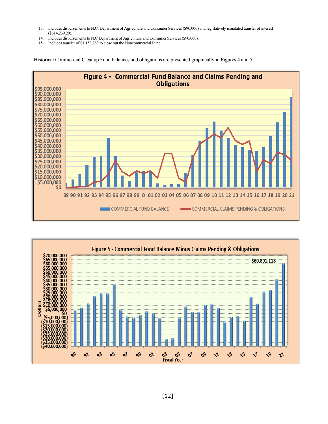- 13. Includes disbursements to N.C. Department of Agriculture and Consumer Services (\$90,000) and legislatively mandated transfer of interest (\$614,239.29).
- 14. Includes disbursements to N.C Department of Agriculture and Consumer Services (\$90,000).
- 15. Includes transfer of \$1,153,783 to close out the Noncommercial Fund.

Historical Commercial Cleanup Fund balances and obligations are presented graphically in Figures 4 and 5.



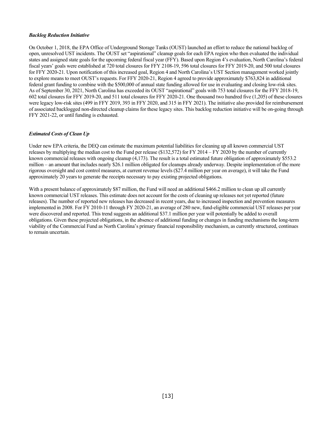#### *Backlog Reduction Initiative*

On October 1, 2018, the EPA Office of Underground Storage Tanks (OUST) launched an effort to reduce the national backlog of open, unresolved UST incidents. The OUST set "aspirational" cleanup goals for each EPA region who then evaluated the individual states and assigned state goals for the upcoming federal fiscal year (FFY). Based upon Region 4's evaluation, North Carolina's federal fiscal years' goals were established at 720 total closures for FFY 2108-19, 596 total closures for FFY 2019-20, and 500 total closures for FFY 2020-21. Upon notification of this increased goal, Region 4 and North Carolina's UST Section management worked jointly to explore means to meet OUST's requests. For FFY 2020-21, Region 4 agreed to provide approximately \$763,824 in additional federal grant funding to combine with the \$500,000 of annual state funding allowed for use in evaluating and closing low-risk sites. As of September 30, 2021, North Carolina has exceeded its OUST "aspirational" goals with 753 total closures for the FFY 2018-19, 602 total closures for FFY 2019-20, and 511 total closures for FFY 2020-21. One thousand two hundred five (1,205) of these closures were legacy low-risk sites (499 in FFY 2019, 393 in FFY 2020, and 315 in FFY 2021). The initiative also provided for reimbursement of associated backlogged non-directed cleanup claims for these legacy sites. This backlog reduction initiative will be on-going through FFY 2021-22, or until funding is exhausted.

#### *Estimated Costs of Clean Up*

Under new EPA criteria, the DEQ can estimate the maximum potential liabilities for cleaning up all known commercial UST releases by multiplying the median cost to the Fund per release (\$132,572) for FY 2014 – FY 2020 by the number of currently known commercial releases with ongoing cleanup (4,173). The result is a total estimated future obligation of approximately \$553.2 million – an amount that includes nearly \$26.1 million obligated for cleanups already underway. Despite implementation of the more rigorous oversight and cost control measures, at current revenue levels (\$27.4 million per year on average), it will take the Fund approximately 20 years to generate the receipts necessary to pay existing projected obligations.

With a present balance of approximately \$87 million, the Fund will need an additional \$466.2 million to clean up all currently known commercial UST releases. This estimate does not account for the costs of cleaning up releases not yet reported (future releases). The number of reported new releases has decreased in recent years, due to increased inspection and prevention measures implemented in 2008. For FY 2010-11 through FY 2020-21, an average of 280 new, fund-eligible commercial UST releases per year were discovered and reported. This trend suggests an additional \$37.1 million per year will potentially be added to overall obligations. Given these projected obligations, in the absence of additional funding or changes in funding mechanisms the long-term viability of the Commercial Fund as North Carolina's primary financial responsibility mechanism, as currently structured, continues to remain uncertain.